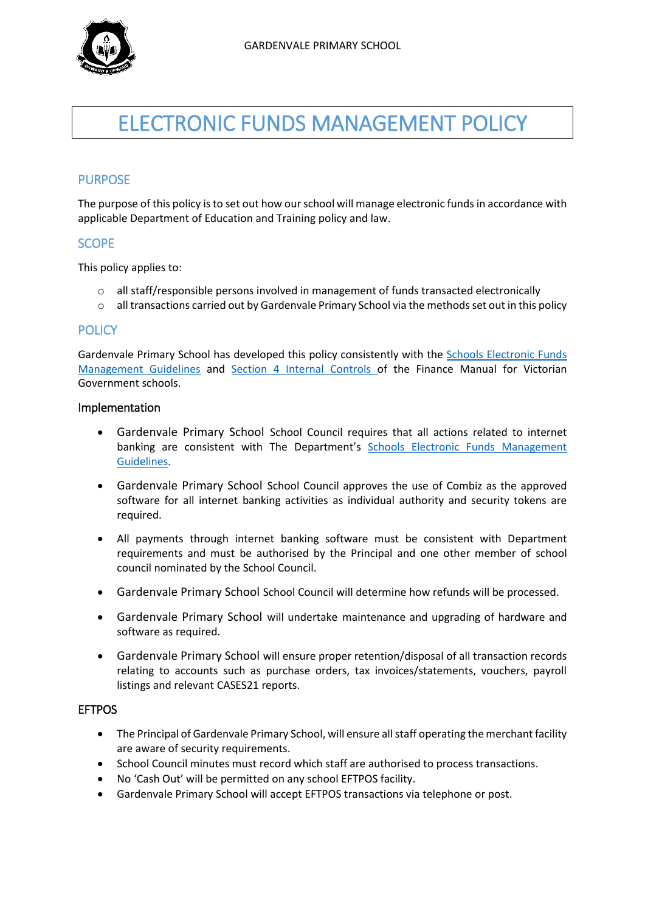

# ELECTRONIC FUNDS MANAGEMENT POLICY

# PURPOSE

The purpose of this policy is to set out how our school will manage electronic funds in accordance with applicable Department of Education and Training policy and law.

## **SCOPE**

This policy applies to:

- $\circ$  all staff/responsible persons involved in management of funds transacted electronically
- o all transactions carried out by Gardenvale Primary School via the methods set out in this policy

#### **POLICY**

Gardenvale Primary School has developed this policy consistently with the [Schools Electronic Funds](http://www.education.vic.gov.au/Documents/school/principals/finance/Fin%20Schools%20Electronic%20Funds%20Management%20Guidelines%20V1_2.pdf)  [Management Guidelines](http://www.education.vic.gov.au/Documents/school/principals/finance/Fin%20Schools%20Electronic%20Funds%20Management%20Guidelines%20V1_2.pdf) and [Section 4 Internal Controls](http://www.education.vic.gov.au/Documents/school/teachers/management/fmvgssection4.pdf) of the Finance Manual for Victorian Government schools.

#### Implementation

- Gardenvale Primary School School Council requires that all actions related to internet banking are consistent with The Department's [Schools Electronic Funds Management](http://www.education.vic.gov.au/Documents/school/principals/finance/Fin%20Schools%20Electronic%20Funds%20Management%20Guidelines%20V1_2.pdf)  [Guidelines](http://www.education.vic.gov.au/Documents/school/principals/finance/Fin%20Schools%20Electronic%20Funds%20Management%20Guidelines%20V1_2.pdf).
- Gardenvale Primary School School Council approves the use of Combiz as the approved software for all internet banking activities as individual authority and security tokens are required.
- All payments through internet banking software must be consistent with Department requirements and must be authorised by the Principal and one other member of school council nominated by the School Council.
- Gardenvale Primary School School Council will determine how refunds will be processed.
- Gardenvale Primary School will undertake maintenance and upgrading of hardware and software as required.
- Gardenvale Primary School will ensure proper retention/disposal of all transaction records relating to accounts such as purchase orders, tax invoices/statements, vouchers, payroll listings and relevant CASES21 reports.

### **FFTPOS**

- The Principal of Gardenvale Primary School, will ensure all staff operating the merchant facility are aware of security requirements.
- School Council minutes must record which staff are authorised to process transactions.
- No 'Cash Out' will be permitted on any school EFTPOS facility.
- Gardenvale Primary School will accept EFTPOS transactions via telephone or post.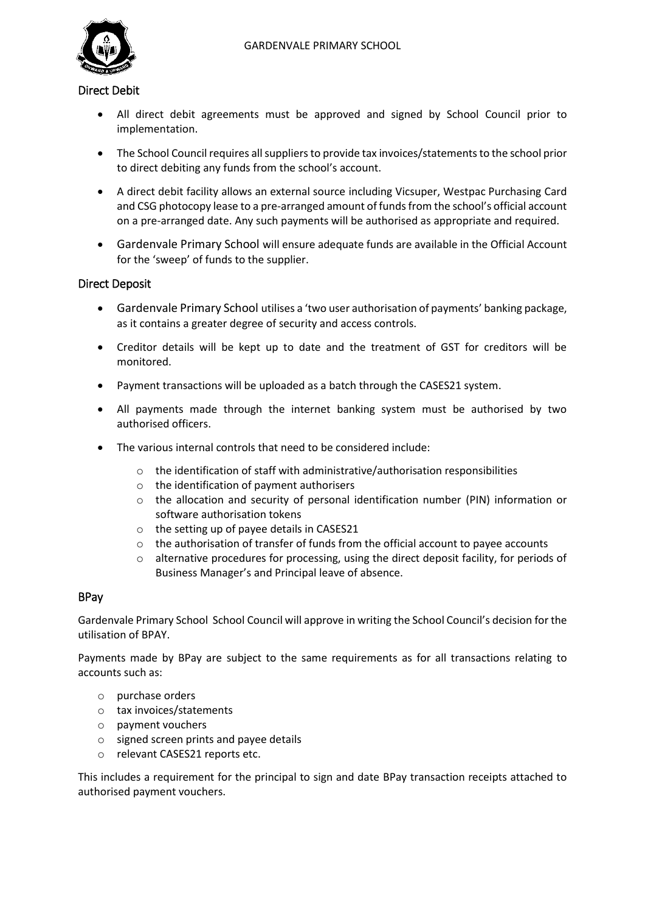

#### Direct Debit

- All direct debit agreements must be approved and signed by School Council prior to implementation.
- The School Council requires all suppliers to provide tax invoices/statements to the school prior to direct debiting any funds from the school's account.
- A direct debit facility allows an external source including Vicsuper, Westpac Purchasing Card and CSG photocopy lease to a pre-arranged amount of funds from the school's official account on a pre-arranged date. Any such payments will be authorised as appropriate and required.
- Gardenvale Primary School will ensure adequate funds are available in the Official Account for the 'sweep' of funds to the supplier.

## Direct Deposit

- Gardenvale Primary School utilises a 'two user authorisation of payments' banking package, as it contains a greater degree of security and access controls.
- Creditor details will be kept up to date and the treatment of GST for creditors will be monitored.
- Payment transactions will be uploaded as a batch through the CASES21 system.
- All payments made through the internet banking system must be authorised by two authorised officers.
- The various internal controls that need to be considered include:
	- $\circ$  the identification of staff with administrative/authorisation responsibilities
	- o the identification of payment authorisers
	- o the allocation and security of personal identification number (PIN) information or software authorisation tokens
	- o the setting up of payee details in CASES21
	- $\circ$  the authorisation of transfer of funds from the official account to payee accounts
	- o alternative procedures for processing, using the direct deposit facility, for periods of Business Manager's and Principal leave of absence.

#### BPay

Gardenvale Primary School School Council will approve in writing the School Council's decision for the utilisation of BPAY.

Payments made by BPay are subject to the same requirements as for all transactions relating to accounts such as:

- o purchase orders
- o tax invoices/statements
- o payment vouchers
- o signed screen prints and payee details
- o relevant CASES21 reports etc.

This includes a requirement for the principal to sign and date BPay transaction receipts attached to authorised payment vouchers.